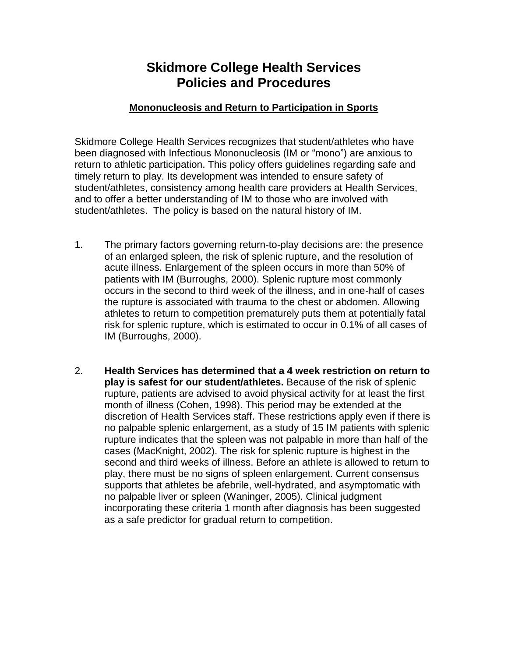## **Skidmore College Health Services Policies and Procedures**

## **Mononucleosis and Return to Participation in Sports**

Skidmore College Health Services recognizes that student/athletes who have been diagnosed with Infectious Mononucleosis (IM or "mono") are anxious to return to athletic participation. This policy offers guidelines regarding safe and timely return to play. Its development was intended to ensure safety of student/athletes, consistency among health care providers at Health Services, and to offer a better understanding of IM to those who are involved with student/athletes. The policy is based on the natural history of IM.

- 1. The primary factors governing return-to-play decisions are: the presence of an enlarged spleen, the risk of splenic rupture, and the resolution of acute illness. Enlargement of the spleen occurs in more than 50% of patients with IM (Burroughs, 2000). Splenic rupture most commonly occurs in the second to third week of the illness, and in one-half of cases the rupture is associated with trauma to the chest or abdomen. Allowing athletes to return to competition prematurely puts them at potentially fatal risk for splenic rupture, which is estimated to occur in 0.1% of all cases of IM (Burroughs, 2000).
- 2. **Health Services has determined that a 4 week restriction on return to play is safest for our student/athletes.** Because of the risk of splenic rupture, patients are advised to avoid physical activity for at least the first month of illness (Cohen, 1998). This period may be extended at the discretion of Health Services staff. These restrictions apply even if there is no palpable splenic enlargement, as a study of 15 IM patients with splenic rupture indicates that the spleen was not palpable in more than half of the cases (MacKnight, 2002). The risk for splenic rupture is highest in the second and third weeks of illness. Before an athlete is allowed to return to play, there must be no signs of spleen enlargement. Current consensus supports that athletes be afebrile, well-hydrated, and asymptomatic with no palpable liver or spleen (Waninger, 2005). Clinical judgment incorporating these criteria 1 month after diagnosis has been suggested as a safe predictor for gradual return to competition.